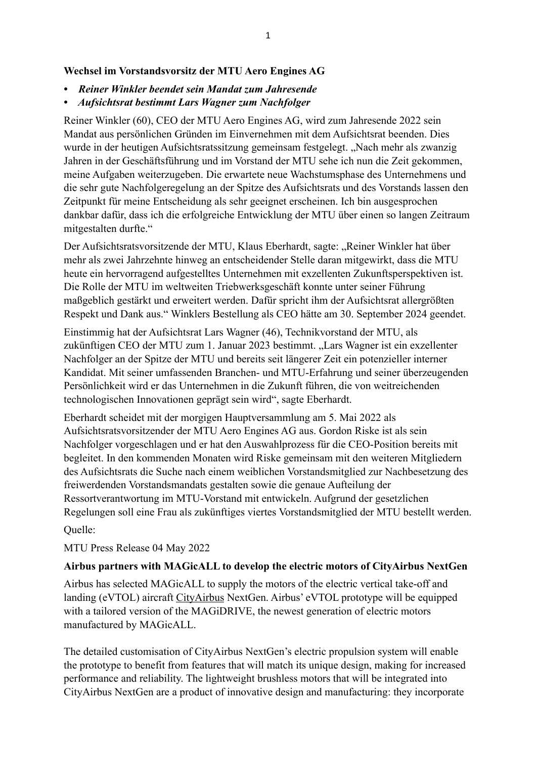### **Wechsel im Vorstandsvorsitz der MTU Aero Engines AG**

- *Reiner Winkler beendet sein Mandat zum Jahresende*
- *Aufsichtsrat bestimmt Lars Wagner zum Nachfolger*

Reiner Winkler (60), CEO der MTU Aero Engines AG, wird zum Jahresende 2022 sein Mandat aus persönlichen Gründen im Einvernehmen mit dem Aufsichtsrat beenden. Dies wurde in der heutigen Aufsichtsratssitzung gemeinsam festgelegt. "Nach mehr als zwanzig Jahren in der Geschäftsführung und im Vorstand der MTU sehe ich nun die Zeit gekommen, meine Aufgaben weiterzugeben. Die erwartete neue Wachstumsphase des Unternehmens und die sehr gute Nachfolgeregelung an der Spitze des Aufsichtsrats und des Vorstands lassen den Zeitpunkt für meine Entscheidung als sehr geeignet erscheinen. Ich bin ausgesprochen dankbar dafür, dass ich die erfolgreiche Entwicklung der MTU über einen so langen Zeitraum mitgestalten durfte."

Der Aufsichtsratsvorsitzende der MTU, Klaus Eberhardt, sagte: "Reiner Winkler hat über mehr als zwei Jahrzehnte hinweg an entscheidender Stelle daran mitgewirkt, dass die MTU heute ein hervorragend aufgestelltes Unternehmen mit exzellenten Zukunftsperspektiven ist. Die Rolle der MTU im weltweiten Triebwerksgeschäft konnte unter seiner Führung maßgeblich gestärkt und erweitert werden. Dafür spricht ihm der Aufsichtsrat allergrößten Respekt und Dank aus." Winklers Bestellung als CEO hätte am 30. September 2024 geendet.

Einstimmig hat der Aufsichtsrat Lars Wagner (46), Technikvorstand der MTU, als zukünftigen CEO der MTU zum 1. Januar 2023 bestimmt. "Lars Wagner ist ein exzellenter Nachfolger an der Spitze der MTU und bereits seit längerer Zeit ein potenzieller interner Kandidat. Mit seiner umfassenden Branchen- und MTU-Erfahrung und seiner überzeugenden Persönlichkeit wird er das Unternehmen in die Zukunft führen, die von weitreichenden technologischen Innovationen geprägt sein wird", sagte Eberhardt.

Eberhardt scheidet mit der morgigen Hauptversammlung am 5. Mai 2022 als Aufsichtsratsvorsitzender der MTU Aero Engines AG aus. Gordon Riske ist als sein Nachfolger vorgeschlagen und er hat den Auswahlprozess für die CEO-Position bereits mit begleitet. In den kommenden Monaten wird Riske gemeinsam mit den weiteren Mitgliedern des Aufsichtsrats die Suche nach einem weiblichen Vorstandsmitglied zur Nachbesetzung des freiwerdenden Vorstandsmandats gestalten sowie die genaue Aufteilung der Ressortverantwortung im MTU-Vorstand mit entwickeln. Aufgrund der gesetzlichen Regelungen soll eine Frau als zukünftiges viertes Vorstandsmitglied der MTU bestellt werden.

Quelle:

MTU Press Release 04 May 2022

#### **Airbus partners with MAGicALL to develop the electric motors of CityAirbus NextGen**

Airbus has selected MAGicALL to supply the motors of the electric vertical take-off and landing (eVTOL) aircraft [CityAirbus](https://www.airbus.com/en/innovation/zero-emission/urban-air-mobility/cityairbus-nextgen) NextGen. Airbus' eVTOL prototype will be equipped with a tailored version of the MAGiDRIVE, the newest generation of electric motors manufactured by MAGicALL.

The detailed customisation of CityAirbus NextGen's electric propulsion system will enable the prototype to benefit from features that will match its unique design, making for increased performance and reliability. The lightweight brushless motors that will be integrated into CityAirbus NextGen are a product of innovative design and manufacturing: they incorporate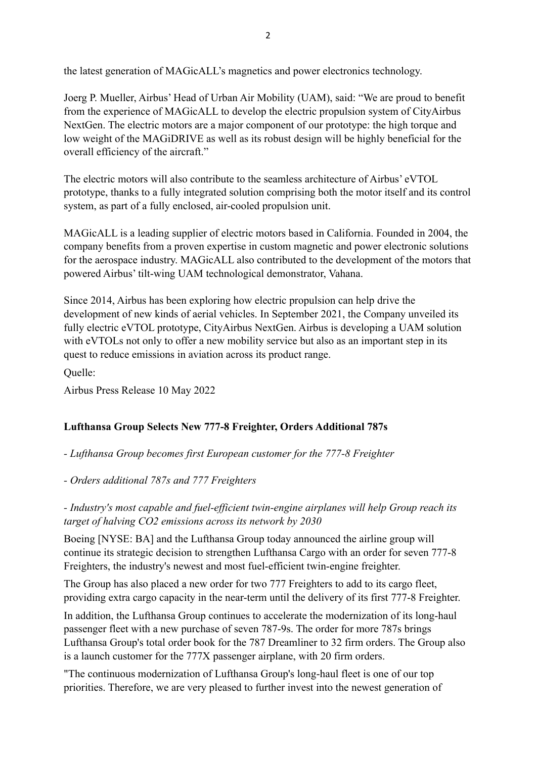Joerg P. Mueller, Airbus' Head of Urban Air Mobility (UAM), said: "We are proud to benefit from the experience of MAGicALL to develop the electric propulsion system of CityAirbus NextGen. The electric motors are a major component of our prototype: the high torque and low weight of the MAGiDRIVE as well as its robust design will be highly beneficial for the overall efficiency of the aircraft."

The electric motors will also contribute to the seamless architecture of Airbus' eVTOL prototype, thanks to a fully integrated solution comprising both the motor itself and its control system, as part of a fully enclosed, air-cooled propulsion unit.

MAGicALL is a leading supplier of electric motors based in California. Founded in 2004, the company benefits from a proven expertise in custom magnetic and power electronic solutions for the aerospace industry. MAGicALL also contributed to the development of the motors that powered Airbus' tilt-wing UAM technological demonstrator, Vahana.

Since 2014, Airbus has been exploring how electric propulsion can help drive the development of new kinds of aerial vehicles. In September 2021, the Company unveiled its fully electric eVTOL prototype, CityAirbus NextGen. Airbus is developing a UAM solution with eVTOLs not only to offer a new mobility service but also as an important step in its quest to reduce emissions in aviation across its product range.

Quelle:

Airbus Press Release 10 May 2022

#### **Lufthansa Group Selects New 777-8 Freighter, Orders Additional 787s**

*- Lufthansa Group becomes first European customer for the 777-8 Freighter*

*- Orders additional 787s and 777 Freighters*

*- Industry's most capable and fuel-efficient twin-engine airplanes will help Group reach its target of halving CO2 emissions across its network by 2030*

Boeing [NYSE: BA] and the Lufthansa Group today announced the airline group will continue its strategic decision to strengthen Lufthansa Cargo with an order for seven 777-8 Freighters, the industry's newest and most fuel-efficient twin-engine freighter.

The Group has also placed a new order for two 777 Freighters to add to its cargo fleet, providing extra cargo capacity in the near-term until the delivery of its first 777-8 Freighter.

In addition, the Lufthansa Group continues to accelerate the modernization of its long-haul passenger fleet with a new purchase of seven 787-9s. The order for more 787s brings Lufthansa Group's total order book for the 787 Dreamliner to 32 firm orders. The Group also is a launch customer for the 777X passenger airplane, with 20 firm orders.

"The continuous modernization of Lufthansa Group's long-haul fleet is one of our top priorities. Therefore, we are very pleased to further invest into the newest generation of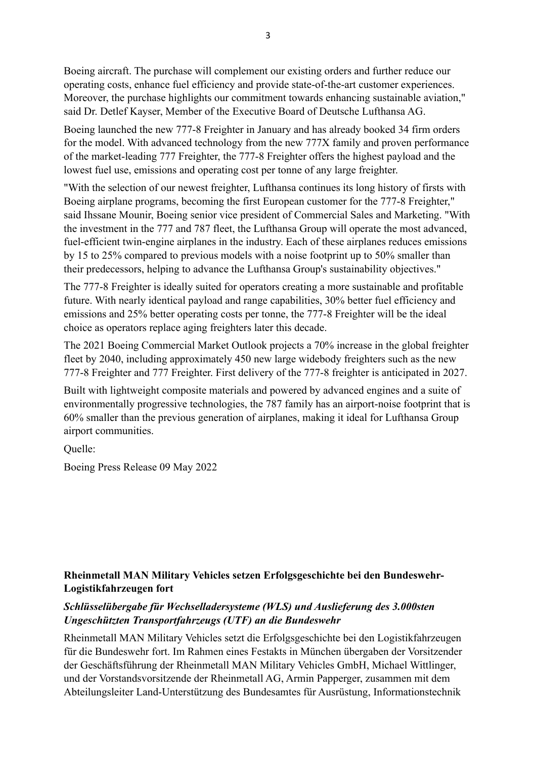Boeing aircraft. The purchase will complement our existing orders and further reduce our operating costs, enhance fuel efficiency and provide state-of-the-art customer experiences. Moreover, the purchase highlights our commitment towards enhancing sustainable aviation," said Dr. Detlef Kayser, Member of the Executive Board of Deutsche Lufthansa AG.

Boeing launched the new 777-8 Freighter in January and has already booked 34 firm orders for the model. With advanced technology from the new 777X family and proven performance of the market-leading 777 Freighter, the 777-8 Freighter offers the highest payload and the lowest fuel use, emissions and operating cost per tonne of any large freighter.

"With the selection of our newest freighter, Lufthansa continues its long history of firsts with Boeing airplane programs, becoming the first European customer for the 777-8 Freighter," said Ihssane Mounir, Boeing senior vice president of Commercial Sales and Marketing. "With the investment in the 777 and 787 fleet, the Lufthansa Group will operate the most advanced, fuel-efficient twin-engine airplanes in the industry. Each of these airplanes reduces emissions by 15 to 25% compared to previous models with a noise footprint up to 50% smaller than their predecessors, helping to advance the Lufthansa Group's sustainability objectives."

The 777-8 Freighter is ideally suited for operators creating a more sustainable and profitable future. With nearly identical payload and range capabilities, 30% better fuel efficiency and emissions and 25% better operating costs per tonne, the 777-8 Freighter will be the ideal choice as operators replace aging freighters later this decade.

The 2021 Boeing Commercial Market Outlook projects a 70% increase in the global freighter fleet by 2040, including approximately 450 new large widebody freighters such as the new 777-8 Freighter and 777 Freighter. First delivery of the 777-8 freighter is anticipated in 2027.

Built with lightweight composite materials and powered by advanced engines and a suite of environmentally progressive technologies, the 787 family has an airport-noise footprint that is 60% smaller than the previous generation of airplanes, making it ideal for Lufthansa Group airport communities.

Quelle:

Boeing Press Release 09 May 2022

## **Rheinmetall MAN Military Vehicles setzen Erfolgsgeschichte bei den Bundeswehr-Logistikfahrzeugen fort**

## *Schlüsselübergabe für Wechselladersysteme (WLS) und Auslieferung des 3.000sten Ungeschützten Transportfahrzeugs (UTF) an die Bundeswehr*

Rheinmetall MAN Military Vehicles setzt die Erfolgsgeschichte bei den Logistikfahrzeugen für die Bundeswehr fort. Im Rahmen eines Festakts in München übergaben der Vorsitzender der Geschäftsführung der Rheinmetall MAN Military Vehicles GmbH, Michael Wittlinger, und der Vorstandsvorsitzende der Rheinmetall AG, Armin Papperger, zusammen mit dem Abteilungsleiter Land-Unterstützung des Bundesamtes für Ausrüstung, Informationstechnik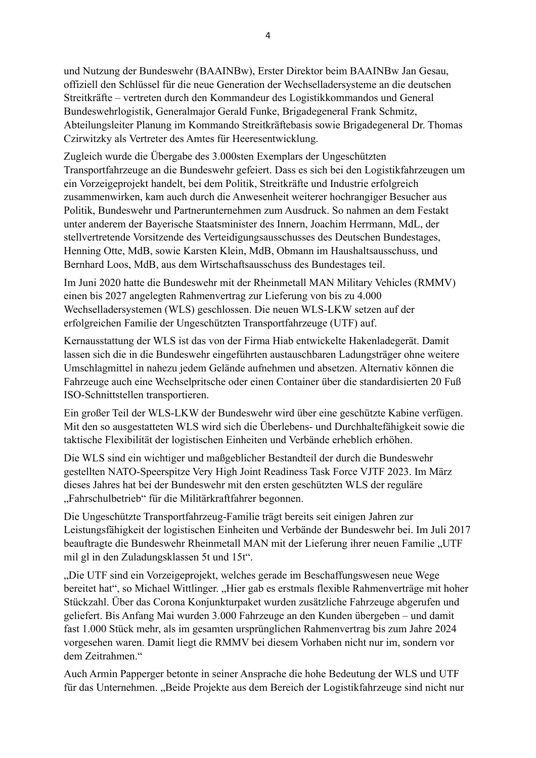und Nutzung der Bundeswehr (BAAINBw), Erster Direktor beim BAAINBw Jan Gesau, offiziell den Schlüssel für die neue Generation der Wechselladersysteme an die deutschen Streitkräfte – vertreten durch den Kommandeur des Logistikkommandos und General Bundeswehrlogistik, Generalmajor Gerald Funke, Brigadegeneral Frank Schmitz, Abteilungsleiter Planung im Kommando Streitkräftebasis sowie Brigadegeneral Dr. Thomas Czirwitzky als Vertreter des Amtes für Heeresentwicklung.

Zugleich wurde die Übergabe des 3.000sten Exemplars der Ungeschützten Transportfahrzeuge an die Bundeswehr gefeiert. Dass es sich bei den Logistikfahrzeugen um ein Vorzeigeprojekt handelt, bei dem Politik, Streitkräfte und Industrie erfolgreich zusammenwirken, kam auch durch die Anwesenheit weiterer hochrangiger Besucher aus Politik, Bundeswehr und Partnerunternehmen zum Ausdruck. So nahmen an dem Festakt unter anderem der Bayerische Staatsminister des Innern, Joachim Herrmann, MdL, der stellvertretende Vorsitzende des Verteidigungsausschusses des Deutschen Bundestages, Henning Otte, MdB, sowie Karsten Klein, MdB, Obmann im Haushaltsausschuss, und Bernhard Loos, MdB, aus dem Wirtschaftsausschuss des Bundestages teil.

Im Juni 2020 hatte die Bundeswehr mit der Rheinmetall MAN Military Vehicles (RMMV) einen bis 2027 angelegten Rahmenvertrag zur Lieferung von bis zu 4.000 Wechselladersystemen (WLS) geschlossen. Die neuen WLS-LKW setzen auf der erfolgreichen Familie der Ungeschützten Transportfahrzeuge (UTF) auf.

Kernausstattung der WLS ist das von der Firma Hiab entwickelte Hakenladegerät. Damit lassen sich die in die Bundeswehr eingeführten austauschbaren Ladungsträger ohne weitere Umschlagmittel in nahezu jedem Gelände aufnehmen und absetzen. Alternativ können die Fahrzeuge auch eine Wechselpritsche oder einen Container über die standardisierten 20 Fuß ISO-Schnittstellen transportieren.

Ein großer Teil der WLS-LKW der Bundeswehr wird über eine geschützte Kabine verfügen. Mit den so ausgestatteten WLS wird sich die Überlebens- und Durchhaltefähigkeit sowie die taktische Flexibilität der logistischen Einheiten und Verbände erheblich erhöhen.

Die WLS sind ein wichtiger und maßgeblicher Bestandteil der durch die Bundeswehr gestellten NATO-Speerspitze Very High Joint Readiness Task Force VJTF 2023. Im März dieses Jahres hat bei der Bundeswehr mit den ersten geschützten WLS der reguläre "Fahrschulbetrieb" für die Militärkraftfahrer begonnen.

Die Ungeschützte Transportfahrzeug-Familie trägt bereits seit einigen Jahren zur Leistungsfähigkeit der logistischen Einheiten und Verbände der Bundeswehr bei. Im Juli 2017 beauftragte die Bundeswehr Rheinmetall MAN mit der Lieferung ihrer neuen Familie "UTF mil gl in den Zuladungsklassen 5t und 15t".

"Die UTF sind ein Vorzeigeprojekt, welches gerade im Beschaffungswesen neue Wege bereitet hat", so Michael Wittlinger. "Hier gab es erstmals flexible Rahmenverträge mit hoher Stückzahl. Über das Corona Konjunkturpaket wurden zusätzliche Fahrzeuge abgerufen und geliefert. Bis Anfang Mai wurden 3.000 Fahrzeuge an den Kunden übergeben – und damit fast 1.000 Stück mehr, als im gesamten ursprünglichen Rahmenvertrag bis zum Jahre 2024 vorgesehen waren. Damit liegt die RMMV bei diesem Vorhaben nicht nur im, sondern vor dem Zeitrahmen"

Auch Armin Papperger betonte in seiner Ansprache die hohe Bedeutung der WLS und UTF für das Unternehmen. "Beide Projekte aus dem Bereich der Logistikfahrzeuge sind nicht nur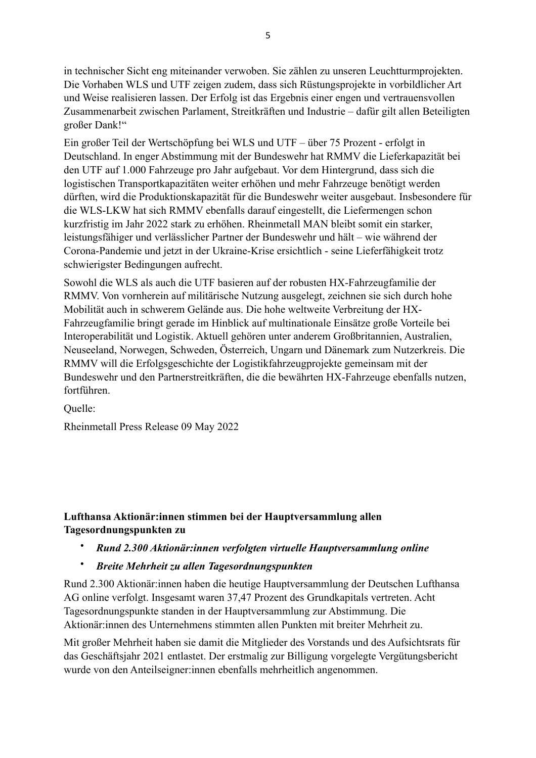in technischer Sicht eng miteinander verwoben. Sie zählen zu unseren Leuchtturmprojekten. Die Vorhaben WLS und UTF zeigen zudem, dass sich Rüstungsprojekte in vorbildlicher Art und Weise realisieren lassen. Der Erfolg ist das Ergebnis einer engen und vertrauensvollen Zusammenarbeit zwischen Parlament, Streitkräften und Industrie – dafür gilt allen Beteiligten großer Dank!"

Ein großer Teil der Wertschöpfung bei WLS und UTF – über 75 Prozent - erfolgt in Deutschland. In enger Abstimmung mit der Bundeswehr hat RMMV die Lieferkapazität bei den UTF auf 1.000 Fahrzeuge pro Jahr aufgebaut. Vor dem Hintergrund, dass sich die logistischen Transportkapazitäten weiter erhöhen und mehr Fahrzeuge benötigt werden dürften, wird die Produktionskapazität für die Bundeswehr weiter ausgebaut. Insbesondere für die WLS-LKW hat sich RMMV ebenfalls darauf eingestellt, die Liefermengen schon kurzfristig im Jahr 2022 stark zu erhöhen. Rheinmetall MAN bleibt somit ein starker, leistungsfähiger und verlässlicher Partner der Bundeswehr und hält – wie während der Corona-Pandemie und jetzt in der Ukraine-Krise ersichtlich - seine Lieferfähigkeit trotz schwierigster Bedingungen aufrecht.

Sowohl die WLS als auch die UTF basieren auf der robusten HX-Fahrzeugfamilie der RMMV. Von vornherein auf militärische Nutzung ausgelegt, zeichnen sie sich durch hohe Mobilität auch in schwerem Gelände aus. Die hohe weltweite Verbreitung der HX-Fahrzeugfamilie bringt gerade im Hinblick auf multinationale Einsätze große Vorteile bei Interoperabilität und Logistik. Aktuell gehören unter anderem Großbritannien, Australien, Neuseeland, Norwegen, Schweden, Österreich, Ungarn und Dänemark zum Nutzerkreis. Die RMMV will die Erfolgsgeschichte der Logistikfahrzeugprojekte gemeinsam mit der Bundeswehr und den Partnerstreitkräften, die die bewährten HX-Fahrzeuge ebenfalls nutzen, fortführen.

Quelle:

Rheinmetall Press Release 09 May 2022

## **Lufthansa Aktionär:innen stimmen bei der Hauptversammlung allen Tagesordnungspunkten zu**

#### • *Rund 2.300 Aktionär:innen verfolgten virtuelle Hauptversammlung online*

• *Breite Mehrheit zu allen Tagesordnungspunkten*

Rund 2.300 Aktionär:innen haben die heutige Hauptversammlung der Deutschen Lufthansa AG online verfolgt. Insgesamt waren 37,47 Prozent des Grundkapitals vertreten. Acht Tagesordnungspunkte standen in der Hauptversammlung zur Abstimmung. Die Aktionär:innen des Unternehmens stimmten allen Punkten mit breiter Mehrheit zu.

Mit großer Mehrheit haben sie damit die Mitglieder des Vorstands und des Aufsichtsrats für das Geschäftsjahr 2021 entlastet. Der erstmalig zur Billigung vorgelegte Vergütungsbericht wurde von den Anteilseigner:innen ebenfalls mehrheitlich angenommen.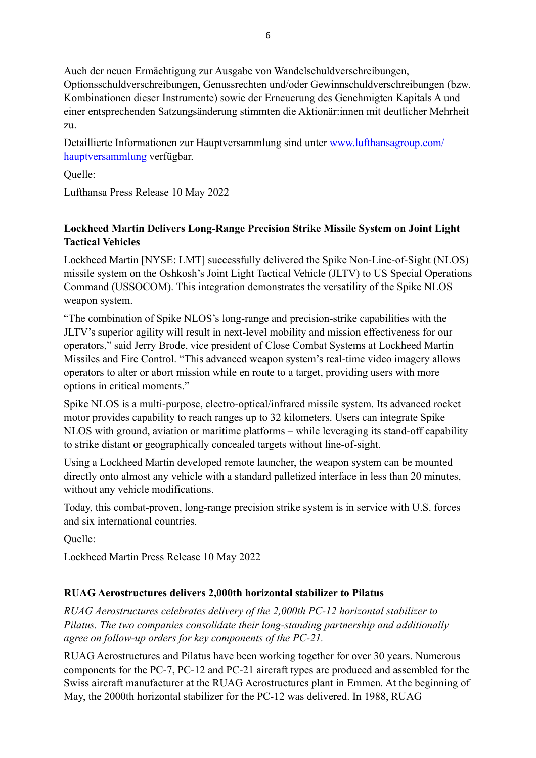Auch der neuen Ermächtigung zur Ausgabe von Wandelschuldverschreibungen, Optionsschuldverschreibungen, Genussrechten und/oder Gewinnschuldverschreibungen (bzw. Kombinationen dieser Instrumente) sowie der Erneuerung des Genehmigten Kapitals A und einer entsprechenden Satzungsänderung stimmten die Aktionär:innen mit deutlicher Mehrheit zu.

Detaillierte Informationen zur Hauptversammlung sind unter [www.lufthansagroup.com/](https://www.lufthansagroup.com/hauptversammlung) [hauptversammlung](https://www.lufthansagroup.com/hauptversammlung) verfügbar.

Quelle:

Lufthansa Press Release 10 May 2022

## **Lockheed Martin Delivers Long-Range Precision Strike Missile System on Joint Light Tactical Vehicles**

Lockheed Martin [NYSE: LMT] successfully delivered the Spike Non-Line-of-Sight (NLOS) missile system on the Oshkosh's Joint Light Tactical Vehicle (JLTV) to US Special Operations Command (USSOCOM). This integration demonstrates the versatility of the Spike NLOS weapon system.

"The combination of Spike NLOS's long-range and precision-strike capabilities with the JLTV's superior agility will result in next-level mobility and mission effectiveness for our operators," said Jerry Brode, vice president of Close Combat Systems at Lockheed Martin Missiles and Fire Control. "This advanced weapon system's real-time video imagery allows operators to alter or abort mission while en route to a target, providing users with more options in critical moments."

Spike NLOS is a multi-purpose, electro-optical/infrared missile system. Its advanced rocket motor provides capability to reach ranges up to 32 kilometers. Users can integrate Spike NLOS with ground, aviation or maritime platforms – while leveraging its stand-off capability to strike distant or geographically concealed targets without line-of-sight.

Using a Lockheed Martin developed remote launcher, the weapon system can be mounted directly onto almost any vehicle with a standard palletized interface in less than 20 minutes, without any vehicle modifications.

Today, this combat-proven, long-range precision strike system is in service with U.S. forces and six international countries.

Quelle:

Lockheed Martin Press Release 10 May 2022

## **RUAG Aerostructures delivers 2,000th horizontal stabilizer to Pilatus**

*RUAG Aerostructures celebrates delivery of the 2,000th PC-12 horizontal stabilizer to Pilatus. The two companies consolidate their long-standing partnership and additionally agree on follow-up orders for key components of the PC-21.* 

RUAG Aerostructures and Pilatus have been working together for over 30 years. Numerous components for the PC-7, PC-12 and PC-21 aircraft types are produced and assembled for the Swiss aircraft manufacturer at the RUAG Aerostructures plant in Emmen. At the beginning of May, the 2000th horizontal stabilizer for the PC-12 was delivered. In 1988, RUAG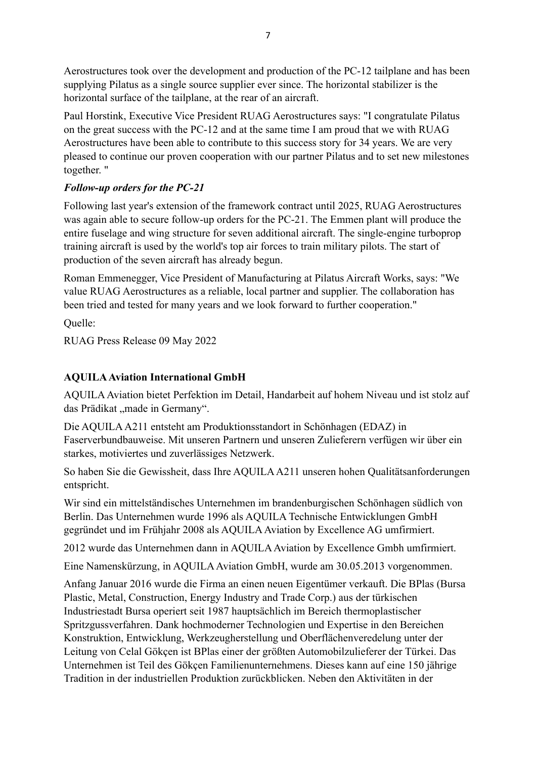Aerostructures took over the development and production of the PC-12 tailplane and has been supplying Pilatus as a single source supplier ever since. The horizontal stabilizer is the horizontal surface of the tailplane, at the rear of an aircraft.

Paul Horstink, Executive Vice President RUAG Aerostructures says: "I congratulate Pilatus on the great success with the PC-12 and at the same time I am proud that we with RUAG Aerostructures have been able to contribute to this success story for 34 years. We are very pleased to continue our proven cooperation with our partner Pilatus and to set new milestones together. "

## *Follow-up orders for the PC-21*

Following last year's extension of the framework contract until 2025, RUAG Aerostructures was again able to secure follow-up orders for the PC-21. The Emmen plant will produce the entire fuselage and wing structure for seven additional aircraft. The single-engine turboprop training aircraft is used by the world's top air forces to train military pilots. The start of production of the seven aircraft has already begun.

Roman Emmenegger, Vice President of Manufacturing at Pilatus Aircraft Works, says: "We value RUAG Aerostructures as a reliable, local partner and supplier. The collaboration has been tried and tested for many years and we look forward to further cooperation."

Quelle:

RUAG Press Release 09 May 2022

## **AQUILA Aviation International GmbH**

AQUILA Aviation bietet Perfektion im Detail, Handarbeit auf hohem Niveau und ist stolz auf das Prädikat "made in Germany".

Die AQUILA A211 entsteht am Produktionsstandort in Schönhagen (EDAZ) in Faserverbundbauweise. Mit unseren Partnern und unseren Zulieferern verfügen wir über ein starkes, motiviertes und zuverlässiges Netzwerk.

So haben Sie die Gewissheit, dass Ihre AQUILA A211 unseren hohen Qualitätsanforderungen entspricht.

Wir sind ein mittelständisches Unternehmen im brandenburgischen Schönhagen südlich von Berlin. Das Unternehmen wurde 1996 als AQUILA Technische Entwicklungen GmbH gegründet und im Frühjahr 2008 als AQUILA Aviation by Excellence AG umfirmiert.

2012 wurde das Unternehmen dann in AQUILA Aviation by Excellence Gmbh umfirmiert.

Eine Namenskürzung, in AQUILA Aviation GmbH, wurde am 30.05.2013 vorgenommen.

Anfang Januar 2016 wurde die Firma an einen neuen Eigentümer verkauft. Die BPlas (Bursa Plastic, Metal, Construction, Energy Industry and Trade Corp.) aus der türkischen Industriestadt Bursa operiert seit 1987 hauptsächlich im Bereich thermoplastischer Spritzgussverfahren. Dank hochmoderner Technologien und Expertise in den Bereichen Konstruktion, Entwicklung, Werkzeugherstellung und Oberflächenveredelung unter der Leitung von Celal Gökçen ist BPlas einer der größten Automobilzulieferer der Türkei. Das Unternehmen ist Teil des Gökçen Familienunternehmens. Dieses kann auf eine 150 jährige Tradition in der industriellen Produktion zurückblicken. Neben den Aktivitäten in der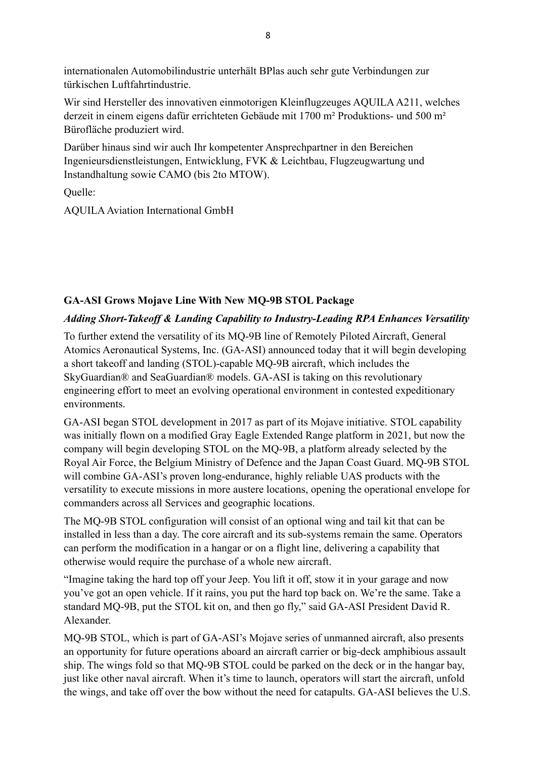internationalen Automobilindustrie unterhält BPlas auch sehr gute Verbindungen zur türkischen Luftfahrtindustrie.

Wir sind Hersteller des innovativen einmotorigen Kleinflugzeuges AQUILA A211, welches derzeit in einem eigens dafür errichteten Gebäude mit 1700 m² Produktions- und 500 m² Bürofläche produziert wird.

Darüber hinaus sind wir auch Ihr kompetenter Ansprechpartner in den Bereichen Ingenieursdienstleistungen, Entwicklung, FVK & Leichtbau, Flugzeugwartung und Instandhaltung sowie CAMO (bis 2to MTOW).

Quelle:

AQUILA Aviation International GmbH

# **GA-ASI Grows Mojave Line With New MQ-9B STOL Package**

## *Adding Short-Takeoff & Landing Capability to Industry-Leading RPA Enhances Versatility*

To further extend the versatility of its MQ-9B line of Remotely Piloted Aircraft, General Atomics Aeronautical Systems, Inc. (GA-ASI) announced today that it will begin developing a short takeoff and landing (STOL)-capable MQ-9B aircraft, which includes the SkyGuardian® and SeaGuardian® models. GA-ASI is taking on this revolutionary engineering effort to meet an evolving operational environment in contested expeditionary environments.

GA-ASI began STOL development in 2017 as part of its Mojave initiative. STOL capability was initially flown on a modified Gray Eagle Extended Range platform in 2021, but now the company will begin developing STOL on the MQ-9B, a platform already selected by the Royal Air Force, the Belgium Ministry of Defence and the Japan Coast Guard. MQ-9B STOL will combine GA-ASI's proven long-endurance, highly reliable UAS products with the versatility to execute missions in more austere locations, opening the operational envelope for commanders across all Services and geographic locations.

The MQ-9B STOL configuration will consist of an optional wing and tail kit that can be installed in less than a day. The core aircraft and its sub-systems remain the same. Operators can perform the modification in a hangar or on a flight line, delivering a capability that otherwise would require the purchase of a whole new aircraft.

"Imagine taking the hard top off your Jeep. You lift it off, stow it in your garage and now you've got an open vehicle. If it rains, you put the hard top back on. We're the same. Take a standard MQ-9B, put the STOL kit on, and then go fly," said GA-ASI President David R. Alexander.

MQ-9B STOL, which is part of GA-ASI's Mojave series of unmanned aircraft, also presents an opportunity for future operations aboard an aircraft carrier or big-deck amphibious assault ship. The wings fold so that MQ-9B STOL could be parked on the deck or in the hangar bay, just like other naval aircraft. When it's time to launch, operators will start the aircraft, unfold the wings, and take off over the bow without the need for catapults. GA-ASI believes the U.S.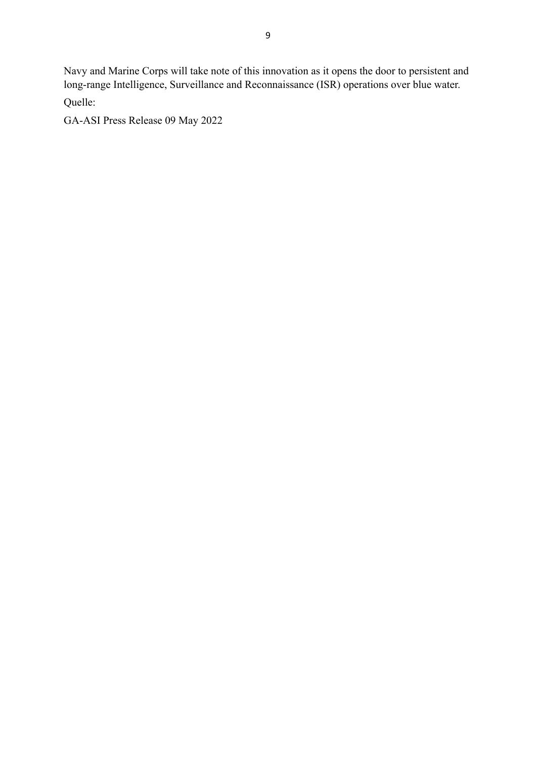Navy and Marine Corps will take note of this innovation as it opens the door to persistent and long-range Intelligence, Surveillance and Reconnaissance (ISR) operations over blue water.

Quelle:

GA-ASI Press Release 09 May 2022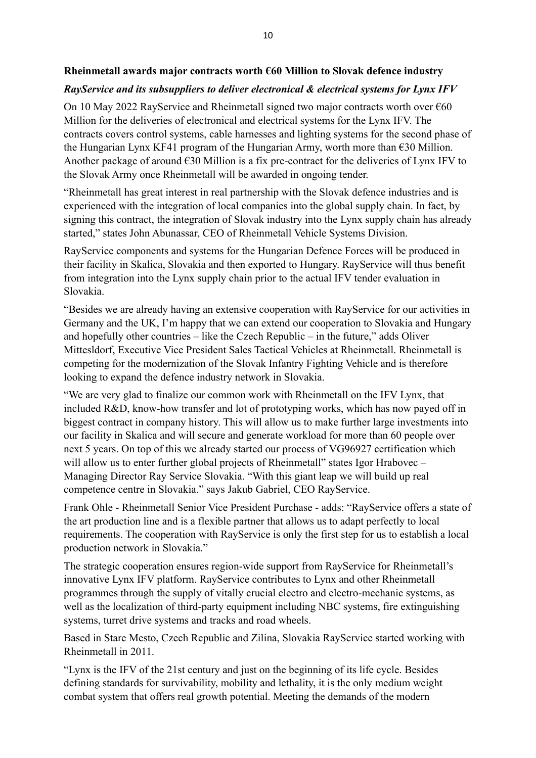### **Rheinmetall awards major contracts worth €60 Million to Slovak defence industry**

# *RayService and its subsuppliers to deliver electronical & electrical systems for Lynx IFV*

On 10 May 2022 RayService and Rheinmetall signed two major contracts worth over  $\epsilon$ 60 Million for the deliveries of electronical and electrical systems for the Lynx IFV. The contracts covers control systems, cable harnesses and lighting systems for the second phase of the Hungarian Lynx KF41 program of the Hungarian Army, worth more than €30 Million. Another package of around  $\epsilon$ 30 Million is a fix pre-contract for the deliveries of Lynx IFV to the Slovak Army once Rheinmetall will be awarded in ongoing tender.

"Rheinmetall has great interest in real partnership with the Slovak defence industries and is experienced with the integration of local companies into the global supply chain. In fact, by signing this contract, the integration of Slovak industry into the Lynx supply chain has already started," states John Abunassar, CEO of Rheinmetall Vehicle Systems Division.

RayService components and systems for the Hungarian Defence Forces will be produced in their facility in Skalica, Slovakia and then exported to Hungary. RayService will thus benefit from integration into the Lynx supply chain prior to the actual IFV tender evaluation in Slovakia.

"Besides we are already having an extensive cooperation with RayService for our activities in Germany and the UK, I'm happy that we can extend our cooperation to Slovakia and Hungary and hopefully other countries – like the Czech Republic – in the future," adds Oliver Mittesldorf, Executive Vice President Sales Tactical Vehicles at Rheinmetall. Rheinmetall is competing for the modernization of the Slovak Infantry Fighting Vehicle and is therefore looking to expand the defence industry network in Slovakia.

"We are very glad to finalize our common work with Rheinmetall on the IFV Lynx, that included R&D, know-how transfer and lot of prototyping works, which has now payed off in biggest contract in company history. This will allow us to make further large investments into our facility in Skalica and will secure and generate workload for more than 60 people over next 5 years. On top of this we already started our process of VG96927 certification which will allow us to enter further global projects of Rheinmetall" states Igor Hrabovec – Managing Director Ray Service Slovakia. "With this giant leap we will build up real competence centre in Slovakia." says Jakub Gabriel, CEO RayService.

Frank Ohle - Rheinmetall Senior Vice President Purchase - adds: "RayService offers a state of the art production line and is a flexible partner that allows us to adapt perfectly to local requirements. The cooperation with RayService is only the first step for us to establish a local production network in Slovakia."

The strategic cooperation ensures region-wide support from RayService for Rheinmetall's innovative Lynx IFV platform. RayService contributes to Lynx and other Rheinmetall programmes through the supply of vitally crucial electro and electro-mechanic systems, as well as the localization of third-party equipment including NBC systems, fire extinguishing systems, turret drive systems and tracks and road wheels.

Based in Stare Mesto, Czech Republic and Zilina, Slovakia RayService started working with Rheinmetall in 2011.

"Lynx is the IFV of the 21st century and just on the beginning of its life cycle. Besides defining standards for survivability, mobility and lethality, it is the only medium weight combat system that offers real growth potential. Meeting the demands of the modern